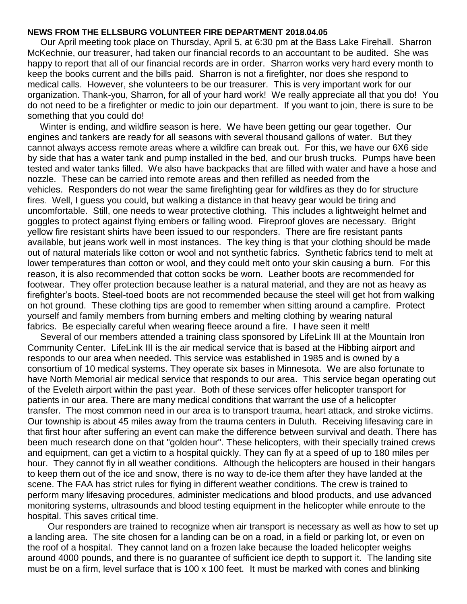## **NEWS FROM THE ELLSBURG VOLUNTEER FIRE DEPARTMENT 2018.04.05**

 Our April meeting took place on Thursday, April 5, at 6:30 pm at the Bass Lake Firehall. Sharron McKechnie, our treasurer, had taken our financial records to an accountant to be audited. She was happy to report that all of our financial records are in order. Sharron works very hard every month to keep the books current and the bills paid. Sharron is not a firefighter, nor does she respond to medical calls. However, she volunteers to be our treasurer. This is very important work for our organization. Thank-you, Sharron, for all of your hard work! We really appreciate all that you do! You do not need to be a firefighter or medic to join our department. If you want to join, there is sure to be something that you could do!

 Winter is ending, and wildfire season is here. We have been getting our gear together. Our engines and tankers are ready for all seasons with several thousand gallons of water. But they cannot always access remote areas where a wildfire can break out. For this, we have our 6X6 side by side that has a water tank and pump installed in the bed, and our brush trucks. Pumps have been tested and water tanks filled. We also have backpacks that are filled with water and have a hose and nozzle. These can be carried into remote areas and then refilled as needed from the vehicles. Responders do not wear the same firefighting gear for wildfires as they do for structure fires. Well, I guess you could, but walking a distance in that heavy gear would be tiring and uncomfortable. Still, one needs to wear protective clothing. This includes a lightweight helmet and goggles to protect against flying embers or falling wood. Fireproof gloves are necessary. Bright yellow fire resistant shirts have been issued to our responders. There are fire resistant pants available, but jeans work well in most instances. The key thing is that your clothing should be made out of natural materials like cotton or wool and not synthetic fabrics. Synthetic fabrics tend to melt at lower temperatures than cotton or wool, and they could melt onto your skin causing a burn. For this reason, it is also recommended that cotton socks be worn. Leather boots are recommended for footwear. They offer protection because leather is a natural material, and they are not as heavy as firefighter's boots. Steel-toed boots are not recommended because the steel will get hot from walking on hot ground. These clothing tips are good to remember when sitting around a campfire. Protect yourself and family members from burning embers and melting clothing by wearing natural fabrics. Be especially careful when wearing fleece around a fire. I have seen it melt!

 Several of our members attended a training class sponsored by LifeLink III at the Mountain Iron Community Center. LifeLink III is the air medical service that is based at the Hibbing airport and responds to our area when needed. This service was established in 1985 and is owned by a consortium of 10 medical systems. They operate six bases in Minnesota. We are also fortunate to have North Memorial air medical service that responds to our area. This service began operating out of the Eveleth airport within the past year. Both of these services offer helicopter transport for patients in our area. There are many medical conditions that warrant the use of a helicopter transfer. The most common need in our area is to transport trauma, heart attack, and stroke victims. Our township is about 45 miles away from the trauma centers in Duluth. Receiving lifesaving care in that first hour after suffering an event can make the difference between survival and death. There has been much research done on that "golden hour". These helicopters, with their specially trained crews and equipment, can get a victim to a hospital quickly. They can fly at a speed of up to 180 miles per hour. They cannot fly in all weather conditions. Although the helicopters are housed in their hangars to keep them out of the ice and snow, there is no way to de-ice them after they have landed at the scene. The FAA has strict rules for flying in different weather conditions. The crew is trained to perform many lifesaving procedures, administer medications and blood products, and use advanced monitoring systems, ultrasounds and blood testing equipment in the helicopter while enroute to the hospital. This saves critical time.

 Our responders are trained to recognize when air transport is necessary as well as how to set up a landing area. The site chosen for a landing can be on a road, in a field or parking lot, or even on the roof of a hospital. They cannot land on a frozen lake because the loaded helicopter weighs around 4000 pounds, and there is no guarantee of sufficient ice depth to support it. The landing site must be on a firm, level surface that is 100 x 100 feet. It must be marked with cones and blinking